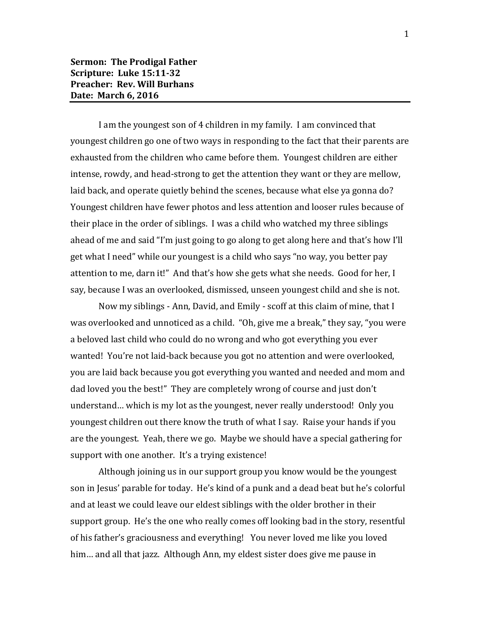I am the youngest son of 4 children in my family. I am convinced that youngest children go one of two ways in responding to the fact that their parents are exhausted from the children who came before them. Youngest children are either intense, rowdy, and head-strong to get the attention they want or they are mellow, laid back, and operate quietly behind the scenes, because what else ya gonna do? Youngest children have fewer photos and less attention and looser rules because of their place in the order of siblings. I was a child who watched my three siblings ahead of me and said "I'm just going to go along to get along here and that's how I'll get what I need" while our youngest is a child who says "no way, you better pay attention to me, darn it!" And that's how she gets what she needs. Good for her, I say, because I was an overlooked, dismissed, unseen youngest child and she is not.

Now my siblings - Ann, David, and Emily - scoff at this claim of mine, that I was overlooked and unnoticed as a child. "Oh, give me a break," they say, "you were a beloved last child who could do no wrong and who got everything you ever wanted! You're not laid-back because you got no attention and were overlooked, you are laid back because you got everything you wanted and needed and mom and dad loved you the best!" They are completely wrong of course and just don't understand… which is my lot as the youngest, never really understood! Only you youngest children out there know the truth of what I say. Raise your hands if you are the youngest. Yeah, there we go. Maybe we should have a special gathering for support with one another. It's a trying existence!

Although joining us in our support group you know would be the youngest son in Jesus' parable for today. He's kind of a punk and a dead beat but he's colorful and at least we could leave our eldest siblings with the older brother in their support group. He's the one who really comes off looking bad in the story, resentful of his father's graciousness and everything! You never loved me like you loved him… and all that jazz. Although Ann, my eldest sister does give me pause in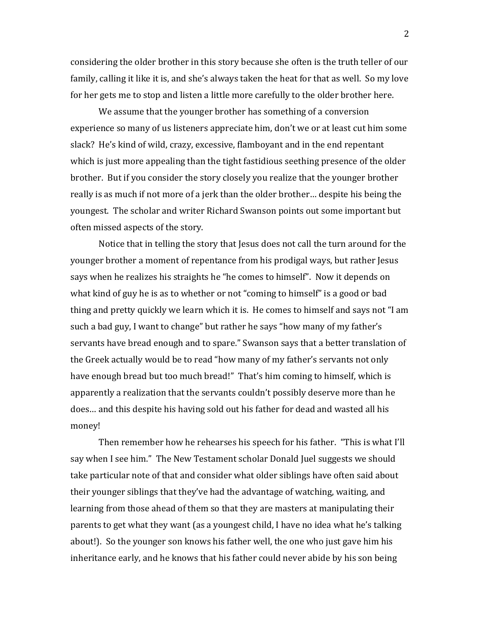considering the older brother in this story because she often is the truth teller of our family, calling it like it is, and she's always taken the heat for that as well. So my love for her gets me to stop and listen a little more carefully to the older brother here.

We assume that the younger brother has something of a conversion experience so many of us listeners appreciate him, don't we or at least cut him some slack? He's kind of wild, crazy, excessive, flamboyant and in the end repentant which is just more appealing than the tight fastidious seething presence of the older brother. But if you consider the story closely you realize that the younger brother really is as much if not more of a jerk than the older brother… despite his being the youngest. The scholar and writer Richard Swanson points out some important but often missed aspects of the story.

Notice that in telling the story that Jesus does not call the turn around for the younger brother a moment of repentance from his prodigal ways, but rather Jesus says when he realizes his straights he "he comes to himself". Now it depends on what kind of guy he is as to whether or not "coming to himself" is a good or bad thing and pretty quickly we learn which it is. He comes to himself and says not "I am such a bad guy, I want to change" but rather he says "how many of my father's servants have bread enough and to spare." Swanson says that a better translation of the Greek actually would be to read "how many of my father's servants not only have enough bread but too much bread!" That's him coming to himself, which is apparently a realization that the servants couldn't possibly deserve more than he does… and this despite his having sold out his father for dead and wasted all his money!

Then remember how he rehearses his speech for his father. "This is what I'll say when I see him." The New Testament scholar Donald Juel suggests we should take particular note of that and consider what older siblings have often said about their younger siblings that they've had the advantage of watching, waiting, and learning from those ahead of them so that they are masters at manipulating their parents to get what they want (as a youngest child, I have no idea what he's talking about!). So the younger son knows his father well, the one who just gave him his inheritance early, and he knows that his father could never abide by his son being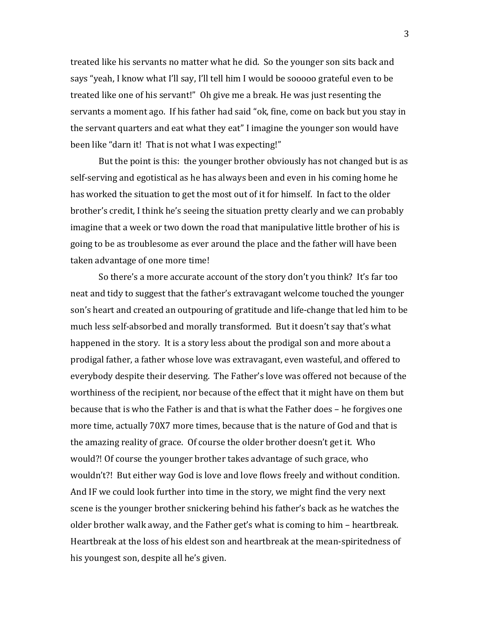treated like his servants no matter what he did. So the younger son sits back and says "yeah, I know what I'll say, I'll tell him I would be sooooo grateful even to be treated like one of his servant!" Oh give me a break. He was just resenting the servants a moment ago. If his father had said "ok, fine, come on back but you stay in the servant quarters and eat what they eat" I imagine the younger son would have been like "darn it! That is not what I was expecting!"

But the point is this: the younger brother obviously has not changed but is as self-serving and egotistical as he has always been and even in his coming home he has worked the situation to get the most out of it for himself. In fact to the older brother's credit, I think he's seeing the situation pretty clearly and we can probably imagine that a week or two down the road that manipulative little brother of his is going to be as troublesome as ever around the place and the father will have been taken advantage of one more time!

So there's a more accurate account of the story don't you think? It's far too neat and tidy to suggest that the father's extravagant welcome touched the younger son's heart and created an outpouring of gratitude and life-change that led him to be much less self-absorbed and morally transformed. But it doesn't say that's what happened in the story. It is a story less about the prodigal son and more about a prodigal father, a father whose love was extravagant, even wasteful, and offered to everybody despite their deserving. The Father's love was offered not because of the worthiness of the recipient, nor because of the effect that it might have on them but because that is who the Father is and that is what the Father does – he forgives one more time, actually 70X7 more times, because that is the nature of God and that is the amazing reality of grace. Of course the older brother doesn't get it. Who would?! Of course the younger brother takes advantage of such grace, who wouldn't?! But either way God is love and love flows freely and without condition. And IF we could look further into time in the story, we might find the very next scene is the younger brother snickering behind his father's back as he watches the older brother walk away, and the Father get's what is coming to him – heartbreak. Heartbreak at the loss of his eldest son and heartbreak at the mean-spiritedness of his youngest son, despite all he's given.